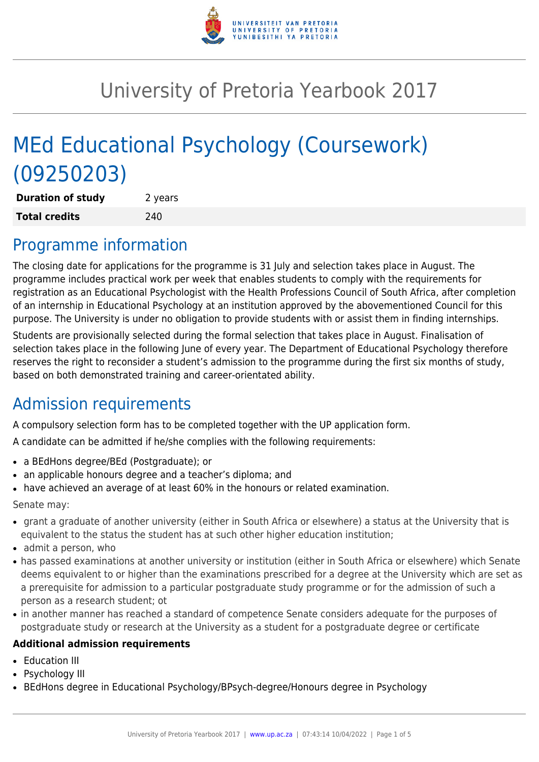

# University of Pretoria Yearbook 2017

# MEd Educational Psychology (Coursework) (09250203)

| <b>Duration of study</b> | 2 years |
|--------------------------|---------|
| <b>Total credits</b>     | 240     |

# Programme information

The closing date for applications for the programme is 31 July and selection takes place in August. The programme includes practical work per week that enables students to comply with the requirements for registration as an Educational Psychologist with the Health Professions Council of South Africa, after completion of an internship in Educational Psychology at an institution approved by the abovementioned Council for this purpose. The University is under no obligation to provide students with or assist them in finding internships.

Students are provisionally selected during the formal selection that takes place in August. Finalisation of selection takes place in the following June of every year. The Department of Educational Psychology therefore reserves the right to reconsider a student's admission to the programme during the first six months of study, based on both demonstrated training and career-orientated ability.

### Admission requirements

A compulsory selection form has to be completed together with the UP application form.

A candidate can be admitted if he/she complies with the following requirements:

- a BEdHons degree/BEd (Postgraduate); or
- an applicable honours degree and a teacher's diploma; and
- have achieved an average of at least 60% in the honours or related examination.

Senate may:

- grant a graduate of another university (either in South Africa or elsewhere) a status at the University that is equivalent to the status the student has at such other higher education institution;
- $\bullet$  admit a person, who
- has passed examinations at another university or institution (either in South Africa or elsewhere) which Senate deems equivalent to or higher than the examinations prescribed for a degree at the University which are set as a prerequisite for admission to a particular postgraduate study programme or for the admission of such a person as a research student; ot
- in another manner has reached a standard of competence Senate considers adequate for the purposes of postgraduate study or research at the University as a student for a postgraduate degree or certificate

#### **Additional admission requirements**

- Education III
- Psychology III
- BEdHons degree in Educational Psychology/BPsych-degree/Honours degree in Psychology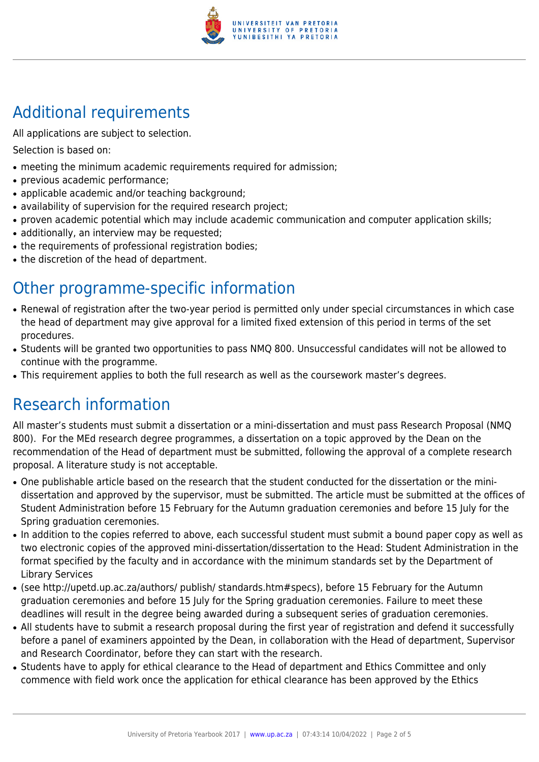

# Additional requirements

All applications are subject to selection.

Selection is based on:

- meeting the minimum academic requirements required for admission;
- previous academic performance;
- applicable academic and/or teaching background;
- availability of supervision for the required research project;
- proven academic potential which may include academic communication and computer application skills;
- additionally, an interview may be requested;
- the requirements of professional registration bodies;
- the discretion of the head of department.

# Other programme-specific information

- Renewal of registration after the two-year period is permitted only under special circumstances in which case the head of department may give approval for a limited fixed extension of this period in terms of the set procedures.
- Students will be granted two opportunities to pass NMQ 800. Unsuccessful candidates will not be allowed to continue with the programme.
- This requirement applies to both the full research as well as the coursework master's degrees.

# Research information

All master's students must submit a dissertation or a mini-dissertation and must pass Research Proposal (NMQ 800). For the MEd research degree programmes, a dissertation on a topic approved by the Dean on the recommendation of the Head of department must be submitted, following the approval of a complete research proposal. A literature study is not acceptable.

- One publishable article based on the research that the student conducted for the dissertation or the minidissertation and approved by the supervisor, must be submitted. The article must be submitted at the offices of Student Administration before 15 February for the Autumn graduation ceremonies and before 15 July for the Spring graduation ceremonies.
- In addition to the copies referred to above, each successful student must submit a bound paper copy as well as two electronic copies of the approved mini-dissertation/dissertation to the Head: Student Administration in the format specified by the faculty and in accordance with the minimum standards set by the Department of Library Services
- (see http://upetd.up.ac.za/authors/ publish/ standards.htm#specs), before 15 February for the Autumn graduation ceremonies and before 15 July for the Spring graduation ceremonies. Failure to meet these deadlines will result in the degree being awarded during a subsequent series of graduation ceremonies.
- All students have to submit a research proposal during the first year of registration and defend it successfully before a panel of examiners appointed by the Dean, in collaboration with the Head of department, Supervisor and Research Coordinator, before they can start with the research.
- Students have to apply for ethical clearance to the Head of department and Ethics Committee and only commence with field work once the application for ethical clearance has been approved by the Ethics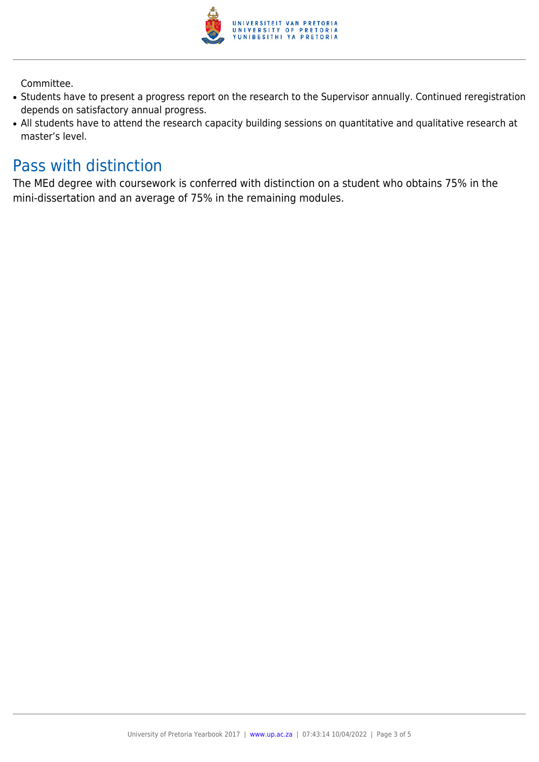

Committee.

- Students have to present a progress report on the research to the Supervisor annually. Continued reregistration depends on satisfactory annual progress.
- All students have to attend the research capacity building sessions on quantitative and qualitative research at master's level.

### Pass with distinction

The MEd degree with coursework is conferred with distinction on a student who obtains 75% in the mini-dissertation and an average of 75% in the remaining modules.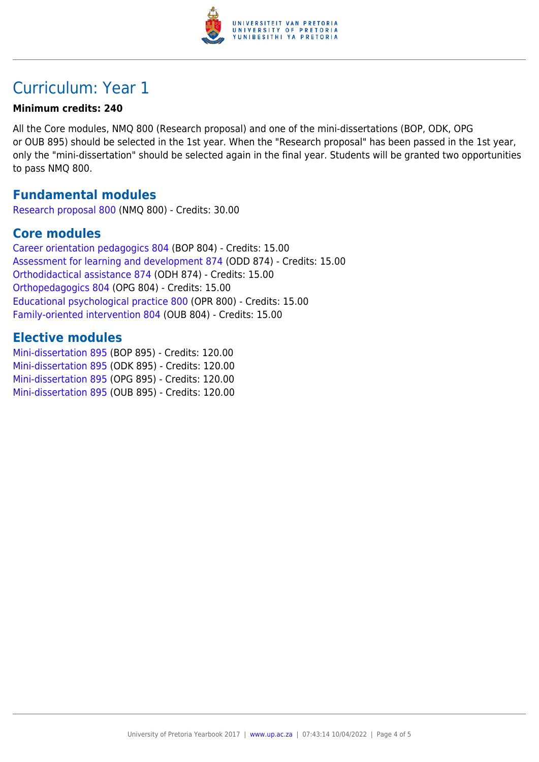

# Curriculum: Year 1

#### **Minimum credits: 240**

All the Core modules, NMQ 800 (Research proposal) and one of the mini-dissertations (BOP, ODK, OPG or OUB 895) should be selected in the 1st year. When the "Research proposal" has been passed in the 1st year, only the "mini-dissertation" should be selected again in the final year. Students will be granted two opportunities to pass NMQ 800.

### **Fundamental modules**

[Research proposal 800](https://www.up.ac.za/faculty-of-education/yearbooks/2017/modules/view/NMQ 800) (NMQ 800) - Credits: 30.00

### **Core modules**

[Career orientation pedagogics 804](https://www.up.ac.za/faculty-of-education/yearbooks/2017/modules/view/BOP 804) (BOP 804) - Credits: 15.00 [Assessment for learning and development 874](https://www.up.ac.za/faculty-of-education/yearbooks/2017/modules/view/ODD 874) (ODD 874) - Credits: 15.00 [Orthodidactical assistance 874](https://www.up.ac.za/faculty-of-education/yearbooks/2017/modules/view/ODH 874) (ODH 874) - Credits: 15.00 [Orthopedagogics 804](https://www.up.ac.za/faculty-of-education/yearbooks/2017/modules/view/OPG 804) (OPG 804) - Credits: 15.00 [Educational psychological practice 800](https://www.up.ac.za/faculty-of-education/yearbooks/2017/modules/view/OPR 800) (OPR 800) - Credits: 15.00 [Family-oriented intervention 804](https://www.up.ac.za/faculty-of-education/yearbooks/2017/modules/view/OUB 804) (OUB 804) - Credits: 15.00

### **Elective modules**

[Mini-dissertation 895](https://www.up.ac.za/faculty-of-education/yearbooks/2017/modules/view/BOP 895) (BOP 895) - Credits: 120.00 [Mini-dissertation 895](https://www.up.ac.za/faculty-of-education/yearbooks/2017/modules/view/ODK 895) (ODK 895) - Credits: 120.00 [Mini-dissertation 895](https://www.up.ac.za/faculty-of-education/yearbooks/2017/modules/view/OPG 895) (OPG 895) - Credits: 120.00 [Mini-dissertation 895](https://www.up.ac.za/faculty-of-education/yearbooks/2017/modules/view/OUB 895) (OUB 895) - Credits: 120.00